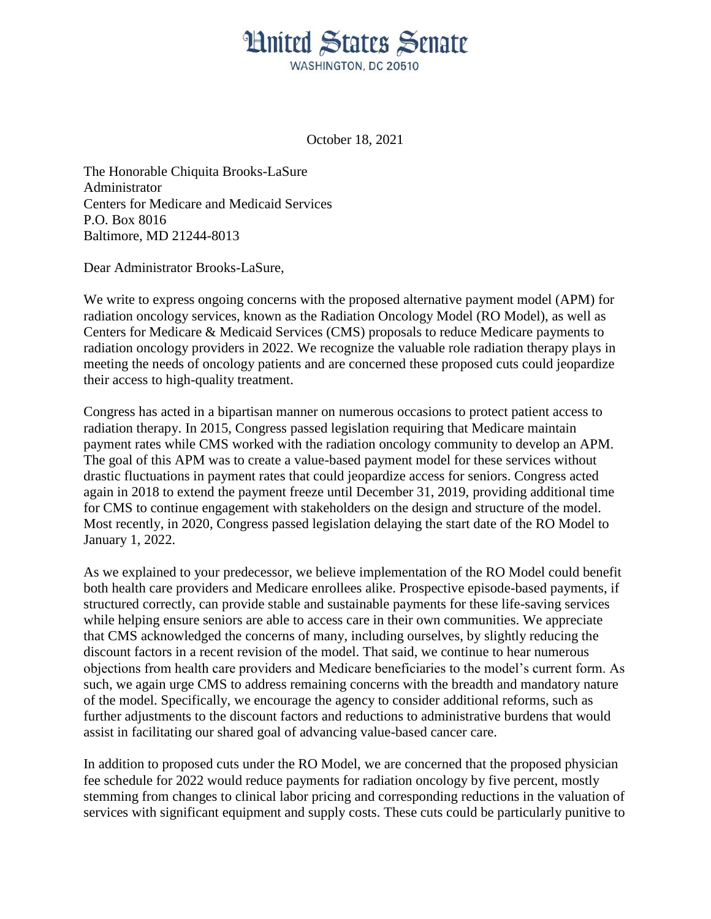## **Hnited States Senate** WASHINGTON, DC 20510

October 18, 2021

The Honorable Chiquita Brooks-LaSure Administrator Centers for Medicare and Medicaid Services P.O. Box 8016 Baltimore, MD 21244-8013

Dear Administrator Brooks-LaSure,

We write to express ongoing concerns with the proposed alternative payment model (APM) for radiation oncology services, known as the Radiation Oncology Model (RO Model), as well as Centers for Medicare & Medicaid Services (CMS) proposals to reduce Medicare payments to radiation oncology providers in 2022. We recognize the valuable role radiation therapy plays in meeting the needs of oncology patients and are concerned these proposed cuts could jeopardize their access to high-quality treatment.

Congress has acted in a bipartisan manner on numerous occasions to protect patient access to radiation therapy. In 2015, Congress passed legislation requiring that Medicare maintain payment rates while CMS worked with the radiation oncology community to develop an APM. The goal of this APM was to create a value-based payment model for these services without drastic fluctuations in payment rates that could jeopardize access for seniors. Congress acted again in 2018 to extend the payment freeze until December 31, 2019, providing additional time for CMS to continue engagement with stakeholders on the design and structure of the model. Most recently, in 2020, Congress passed legislation delaying the start date of the RO Model to January 1, 2022.

As we explained to your predecessor, we believe implementation of the RO Model could benefit both health care providers and Medicare enrollees alike. Prospective episode-based payments, if structured correctly, can provide stable and sustainable payments for these life-saving services while helping ensure seniors are able to access care in their own communities. We appreciate that CMS acknowledged the concerns of many, including ourselves, by slightly reducing the discount factors in a recent revision of the model. That said, we continue to hear numerous objections from health care providers and Medicare beneficiaries to the model's current form. As such, we again urge CMS to address remaining concerns with the breadth and mandatory nature of the model. Specifically, we encourage the agency to consider additional reforms, such as further adjustments to the discount factors and reductions to administrative burdens that would assist in facilitating our shared goal of advancing value-based cancer care.

In addition to proposed cuts under the RO Model, we are concerned that the proposed physician fee schedule for 2022 would reduce payments for radiation oncology by five percent, mostly stemming from changes to clinical labor pricing and corresponding reductions in the valuation of services with significant equipment and supply costs. These cuts could be particularly punitive to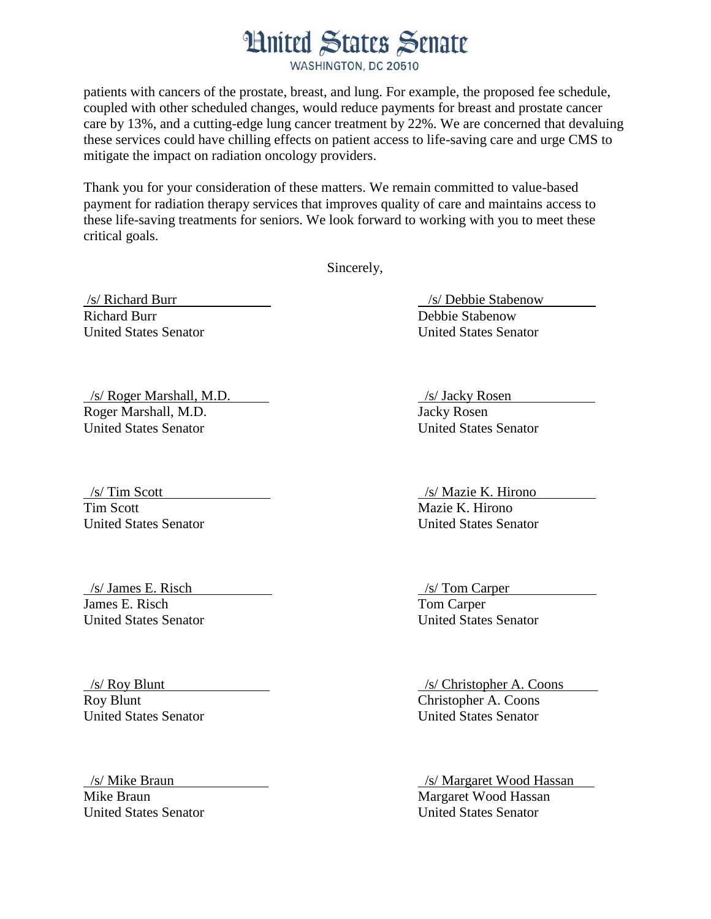## **Hnited States Senate**

WASHINGTON, DC 20510

patients with cancers of the prostate, breast, and lung. For example, the proposed fee schedule, coupled with other scheduled changes, would reduce payments for breast and prostate cancer care by 13%, and a cutting-edge lung cancer treatment by 22%. We are concerned that devaluing these services could have chilling effects on patient access to life-saving care and urge CMS to mitigate the impact on radiation oncology providers.

Thank you for your consideration of these matters. We remain committed to value-based payment for radiation therapy services that improves quality of care and maintains access to these life-saving treatments for seniors. We look forward to working with you to meet these critical goals.

Sincerely,

Richard Burr **Debbie Stabenow** Debbie Stabenow United States Senator United States Senator

/s/ Roger Marshall, M.D. /s/ Jacky Rosen Roger Marshall, M.D. Jacky Rosen United States Senator United States Senator

Tim Scott Mazie K. Hirono

 /s/ James E. Risch /s/ Tom Carper James E. Risch Tom Carper United States Senator United States Senator

United States Senator United States Senator

United States Senator United States Senator

/s/ Richard Burr /s/ Debbie Stabenow

 /s/ Tim Scott /s/ Mazie K. Hirono United States Senator United States Senator

 /s/ Roy Blunt /s/ Christopher A. Coons Roy Blunt<br>
Christopher A. Coons<br>
United States Senator<br>
United States Senator

 /s/ Mike Braun /s/ Margaret Wood Hassan Mike Braun Margaret Wood Hassan